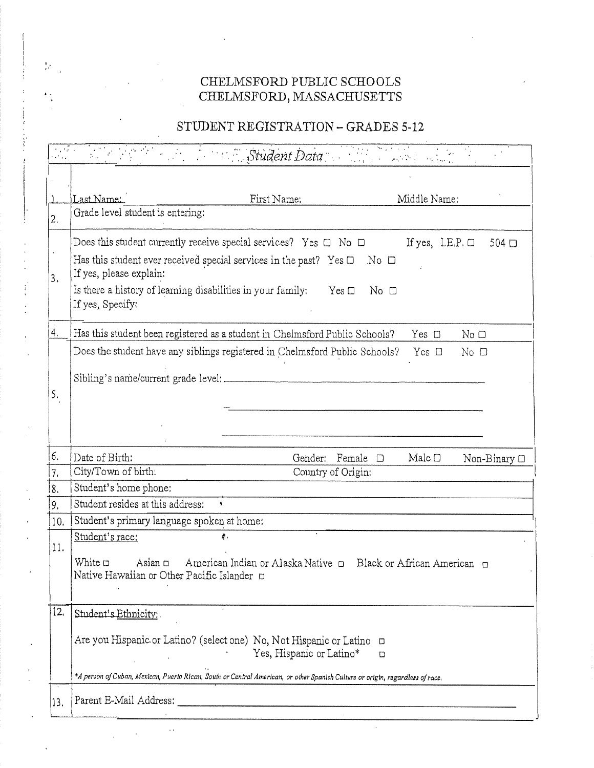# CHELMSFORD PUBLIC SCHOOLS \ CHELMSFORD, MASSACHUSETTS CHELMSFORD

## STUDENT REGISTRATION - GRADES 5-12

|                                                  | CHELMSFORD PUBLIC SCHOOLS<br>CHELMSFORD, MASSACHUSETTS                                                                                                                                                                                                                                                                                 |
|--------------------------------------------------|----------------------------------------------------------------------------------------------------------------------------------------------------------------------------------------------------------------------------------------------------------------------------------------------------------------------------------------|
|                                                  | STUDENT REGISTRATION - GRADES 5-12                                                                                                                                                                                                                                                                                                     |
| ratia.                                           | Student Data                                                                                                                                                                                                                                                                                                                           |
|                                                  |                                                                                                                                                                                                                                                                                                                                        |
|                                                  | Last Name:<br>First Name:<br>Middle Name:<br>Grade level student is entering:                                                                                                                                                                                                                                                          |
|                                                  | Does this student currently receive special services? Yes $\Box$ No $\Box$<br>If yes, I.E.P. $\Box$ 504 $\Box$<br>Has this student ever received special services in the past? Yes $\Box$ No $\Box$<br>If yes, please explain:<br>Is there a history of learning disabilities in your family: Yes $\Box$ No $\Box$<br>If yes, Specify: |
|                                                  | Has this student been registered as a student in Chelmsford Public Schools?<br>Yes $\Box$<br>No <sub>D</sub>                                                                                                                                                                                                                           |
|                                                  | Does the student have any siblings registered in Chelmsford Public Schools? Yes $\Box$<br>$No$ $\Box$                                                                                                                                                                                                                                  |
|                                                  | Sibling's name/current grade level:                                                                                                                                                                                                                                                                                                    |
|                                                  |                                                                                                                                                                                                                                                                                                                                        |
|                                                  | Date of Birth:<br>Gender: Female $\square$<br>Male $\Box$                                                                                                                                                                                                                                                                              |
|                                                  | Non-Binary □<br>City/Town of birth:<br>Country of Origin:                                                                                                                                                                                                                                                                              |
|                                                  | Student's home phone:                                                                                                                                                                                                                                                                                                                  |
|                                                  | Student resides at this address:<br>$\mathfrak{q}^-$                                                                                                                                                                                                                                                                                   |
|                                                  | 10. Student's primary language spoken at home:<br>Student's race:<br>廖.                                                                                                                                                                                                                                                                |
|                                                  | White D<br>Asian D American Indian or Alaska Native D Black or African American D<br>Native Hawaiian or Other Pacific Islander                                                                                                                                                                                                         |
| 6.<br>$\overline{7}$ .<br>8.<br>9,<br>11.<br>12. | Student's Ethnicity:                                                                                                                                                                                                                                                                                                                   |
|                                                  | Are you Hispanic or Latino? (select one) No, Not Hispanic or Latino $\Box$<br>Yes, Hispanic or Latino*<br>$\Box$                                                                                                                                                                                                                       |
|                                                  | *A person of Cuban, Mexican, Puerto Rican, South or Central American, or other Spanish Culture or origin, regardless of race.                                                                                                                                                                                                          |

 $\epsilon$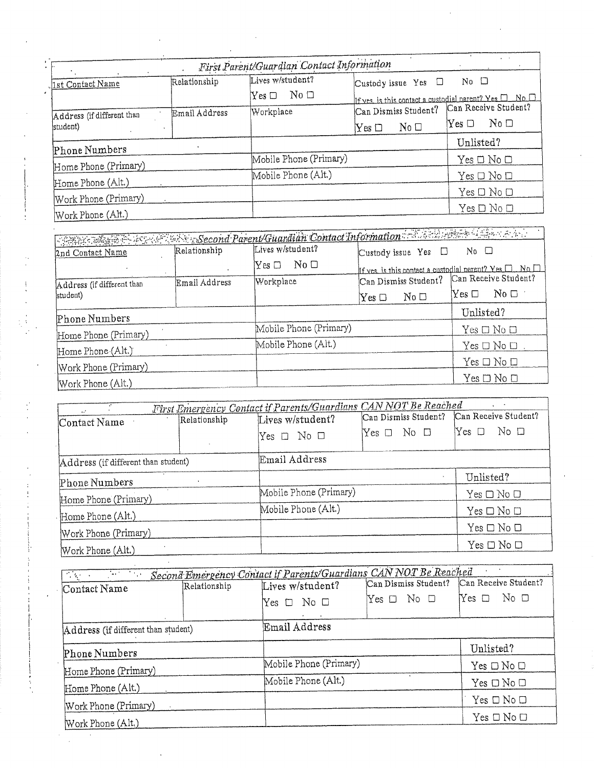| e.                         |               | First Parent/Guardian Contact Information         |                                                        |                                     |
|----------------------------|---------------|---------------------------------------------------|--------------------------------------------------------|-------------------------------------|
| 1st Contact Name           | Relationship  | Lives w/student?                                  | Custody issue Yes<br>⊔                                 | $No$ $\Box$                         |
|                            |               | $\mathrm{No}\ \square$<br>$\mathrm{Yes}\ \square$ | If yes, is this contact a custodial parent? Yes $\Box$ | $\blacksquare$ No. $\square$        |
| Address (if different than | Email Address | Workplace                                         | Can Dismiss Student?                                   | Can Receive Student?                |
| student)                   |               |                                                   | No <sub>D</sub><br>$\operatorname{Yes}\,\square$       | No D<br>$\operatorname{Yes} \ \Box$ |
| Phone Numbers              |               |                                                   |                                                        | Unlisted?                           |
|                            |               | Mobile Phone (Primary)                            |                                                        | $Yes \Box No \Box$                  |
| Home Phone (Primary)       |               | Mobile Phone (Alt.)                               |                                                        | $Yes \Box No \Box$                  |
| Home Phone (Alt.)          |               |                                                   |                                                        | $Yes \Box No \Box$                  |
| Work Phone (Primary)       |               |                                                   |                                                        |                                     |
| Work Phone (Alt.)          |               |                                                   |                                                        | Yes □ No □                          |

 $\frac{1}{\sqrt{2}}$ 

 $\frac{1}{2}$ 

Ì,

 $\boldsymbol{\cdot}$ 

|                                           |               | Competing on the second Parent/Guardian Contact Information and the second labor and |                                    |                                                                  |
|-------------------------------------------|---------------|--------------------------------------------------------------------------------------|------------------------------------|------------------------------------------------------------------|
| 2nd Contact Name                          | Relationship  | Lives w/student?                                                                     | Custody issue Yes $\Box$ No $\Box$ |                                                                  |
|                                           |               | $\mathrm{No}\ \square$<br>$\mathrm{Yes}\ \Box$                                       |                                    | If yes, is this contact a custodial parent? Yes $\Box$ No $\Box$ |
| Address (if different than                | Email Address | Workplace                                                                            | Can Dismiss Student?               | Can Receive Student?                                             |
| student)                                  |               |                                                                                      | No D<br>$\operatorname{Yes} \Box$  | $\mathrm{No}\ \Box$<br>$\mathrm{Yes}\ \Box$                      |
| Phone Numbers                             |               |                                                                                      |                                    | Unlisted?                                                        |
|                                           |               | Mobile Phone (Primary)                                                               |                                    | $Yes \Box No \Box$                                               |
| Home Phone (Primary)                      |               | Mobile Phone (Alt.)                                                                  |                                    | $Yes \Box No \Box$                                               |
| Home Phone (Alt.)                         |               |                                                                                      |                                    | $Yes \Box No \Box$                                               |
| Work Phone (Primary)<br>Work Phone (Alt.) |               |                                                                                      |                                    | $Yes \Box No \Box$                                               |
|                                           |               |                                                                                      |                                    |                                                                  |

| First Emergency Contact if Parents/Guardians CAN NOT Be Reached<br>$\chi_{\rm{max}}$ , $\chi_{\rm{max}}$<br>$\mathbf{r}$ |              |                            |                      |                      |
|--------------------------------------------------------------------------------------------------------------------------|--------------|----------------------------|----------------------|----------------------|
| Contact Name                                                                                                             | Relationship | Lives w/student?           | Can Dismiss Student? | Can Receive Student? |
|                                                                                                                          |              | Yes $\square$ No $\square$ | ⊢ No □<br>$Yes \Box$ | No □<br>Yes $\Box$   |
| Address (if different than student)                                                                                      |              | Email Address              |                      |                      |
| Phone Numbers                                                                                                            |              |                            | $\bullet$            | Unlisted?            |
| Home Phone (Primary)                                                                                                     |              | Mobile Phone (Primary)     |                      | $Yes \Box No \Box$   |
| Home Phone (Alt.)                                                                                                        |              | Mobile Phone (Alt.)        |                      | $Yes \Box No \Box$   |
| Work Phone (Primary)                                                                                                     |              |                            |                      | $Yes \Box No \Box$   |
| Work Phone (Alt.)                                                                                                        |              |                            |                      | $Yes \Box No \Box$   |
|                                                                                                                          |              |                            |                      |                      |

| Relationship                              | Lives w/student? |                     | Can Receive Student?                                                                                               |  |  |
|-------------------------------------------|------------------|---------------------|--------------------------------------------------------------------------------------------------------------------|--|--|
|                                           | No □<br>Yes □    | $Yes \Box No \Box$  | No □<br>$\gamma$ es $\Box$                                                                                         |  |  |
|                                           |                  |                     |                                                                                                                    |  |  |
| Address (if different than student)       |                  |                     |                                                                                                                    |  |  |
| Phone Numbers                             |                  |                     | Unlisted?                                                                                                          |  |  |
| Home Phone (Primary)<br>Home Phone (Alt.) |                  |                     | Yes $\Box$ No $\Box$                                                                                               |  |  |
|                                           |                  | Mobile Phone (Alt.) |                                                                                                                    |  |  |
| Work Phone (Primary)                      |                  |                     | Yes $\Box$ No $\Box$                                                                                               |  |  |
| Work Phone (Alt.)                         |                  |                     | $Yes \Box No \Box$                                                                                                 |  |  |
|                                           |                  | Email Address       | Second Emergency Contact if Parents/Guardians CAN NOT Be Reached<br>Can Dismiss Student?<br>Mobile Phone (Primary) |  |  |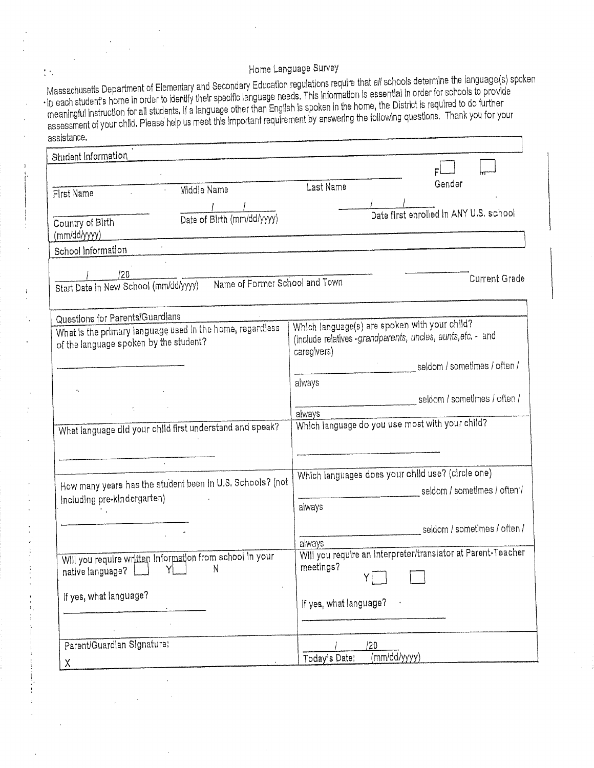## Home Language Survey

Massachusetts Department of Elementary and Secondary Education regulations requ Massachusetts Department of Elementary and Secondary Equation regulations require that an econome December 20<br>In each student's home in order to identify their specific language needs. This information is essential in orde assessment of your child, Please help us meet this Important requirement by answering the following questions. Thank you for your Home Lan<br>
Massachusetts Department of Elementary and Secondary Educatio<br>
in each student's home in order to identify their specific language ne<br>
meaningful instruction for all students. If a language other than Engl<br>
asses Examples and Section<br>
assachusetts Department of Elementary and Section<br>
areach student's home in order to identify their species<br>
areaningful instruction for all students. If a language<br>
sessment of your child. Please hel re that all schools determine the language(s) spoken

| Home Language Survey                                                                                                                                                                                                                                                                                                                                                                                                                                                                                                                                             |
|------------------------------------------------------------------------------------------------------------------------------------------------------------------------------------------------------------------------------------------------------------------------------------------------------------------------------------------------------------------------------------------------------------------------------------------------------------------------------------------------------------------------------------------------------------------|
| Massachusetts Department of Elementary and Secondary Education regulations require that all schools determine the language(s) spoken<br>in each student's home in order to identify their specific language needs. This information is essential in order for schools to provide<br>meaningful instruction for all students. If a language other than English is spoken in the home, the District is required to do further<br>assessment of your child. Please help us meet this important requirement by answering the following questions. Thank you for your |
|                                                                                                                                                                                                                                                                                                                                                                                                                                                                                                                                                                  |
|                                                                                                                                                                                                                                                                                                                                                                                                                                                                                                                                                                  |
| Gender<br>Last Name                                                                                                                                                                                                                                                                                                                                                                                                                                                                                                                                              |
|                                                                                                                                                                                                                                                                                                                                                                                                                                                                                                                                                                  |
| Date first enrolled in ANY U.S. school                                                                                                                                                                                                                                                                                                                                                                                                                                                                                                                           |
|                                                                                                                                                                                                                                                                                                                                                                                                                                                                                                                                                                  |
| <b>Current Grade</b><br>Start Date in New School (mm/dd/yyyy) Name of Former School and Town                                                                                                                                                                                                                                                                                                                                                                                                                                                                     |
|                                                                                                                                                                                                                                                                                                                                                                                                                                                                                                                                                                  |
| Which language(s) are spoken with your child?<br>(include relatives -grandparents, uncles, aunts, etc. - and<br>caregivers)                                                                                                                                                                                                                                                                                                                                                                                                                                      |
| seldom / sometimes / often /                                                                                                                                                                                                                                                                                                                                                                                                                                                                                                                                     |
| always<br>seldom / sometimes / often /                                                                                                                                                                                                                                                                                                                                                                                                                                                                                                                           |
| always<br>Which language do you use most with your child?                                                                                                                                                                                                                                                                                                                                                                                                                                                                                                        |
|                                                                                                                                                                                                                                                                                                                                                                                                                                                                                                                                                                  |
| Which languages does your child use? (circle one)                                                                                                                                                                                                                                                                                                                                                                                                                                                                                                                |
| How many years has the student been in U.S. Schools? (not                                                                                                                                                                                                                                                                                                                                                                                                                                                                                                        |
| always                                                                                                                                                                                                                                                                                                                                                                                                                                                                                                                                                           |
| ____________________________seldom / sometimes / often /<br>always                                                                                                                                                                                                                                                                                                                                                                                                                                                                                               |
| Will you require an interpreter/translator at Parent-Teacher<br>meetings?                                                                                                                                                                                                                                                                                                                                                                                                                                                                                        |
| If yes, what language?                                                                                                                                                                                                                                                                                                                                                                                                                                                                                                                                           |
|                                                                                                                                                                                                                                                                                                                                                                                                                                                                                                                                                                  |
|                                                                                                                                                                                                                                                                                                                                                                                                                                                                                                                                                                  |
| /20                                                                                                                                                                                                                                                                                                                                                                                                                                                                                                                                                              |
|                                                                                                                                                                                                                                                                                                                                                                                                                                                                                                                                                                  |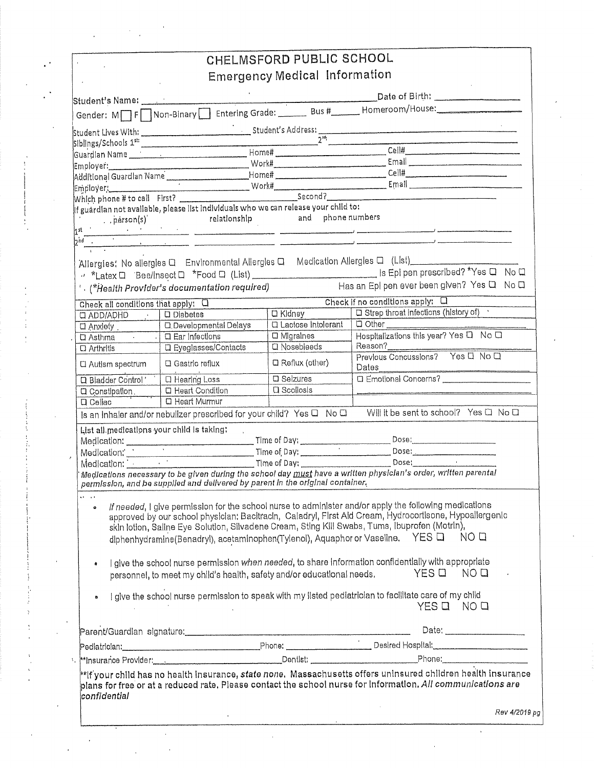|                                            |                                                                                                                    | CHELMSFORD PUBLIC SCHOOL                       |                                                                                                                                                                                                                                                                                                                                                                                                                                                                     |               |
|--------------------------------------------|--------------------------------------------------------------------------------------------------------------------|------------------------------------------------|---------------------------------------------------------------------------------------------------------------------------------------------------------------------------------------------------------------------------------------------------------------------------------------------------------------------------------------------------------------------------------------------------------------------------------------------------------------------|---------------|
|                                            |                                                                                                                    | <b>Emergency Medical Information</b>           |                                                                                                                                                                                                                                                                                                                                                                                                                                                                     |               |
|                                            |                                                                                                                    |                                                |                                                                                                                                                                                                                                                                                                                                                                                                                                                                     |               |
|                                            |                                                                                                                    |                                                |                                                                                                                                                                                                                                                                                                                                                                                                                                                                     |               |
|                                            |                                                                                                                    |                                                |                                                                                                                                                                                                                                                                                                                                                                                                                                                                     |               |
|                                            |                                                                                                                    |                                                |                                                                                                                                                                                                                                                                                                                                                                                                                                                                     |               |
|                                            |                                                                                                                    |                                                | $\begin{tabular}{ c c c } \hline \multicolumn{3}{ c }{\text{CellH}} & \multicolumn{3}{ c }{\text{CellH}}\\ \hline \multicolumn{3}{ c }{\text{CellH}} & \multicolumn{3}{ c }{\text{CellH}} & \multicolumn{3}{ c }{\text{CellH}}\\ \hline \multicolumn{3}{ c }{\text{CellH}} & \multicolumn{3}{ c }{\text{CellH}} & \multicolumn{3}{ c }{\text{CellH}} & \multicolumn{3}{ c }{\text{RelH}}\\ \hline \multicolumn{3}{ c }{\text{CellH}} & \multicolumn{3}{ c }{\text{$ |               |
|                                            |                                                                                                                    |                                                |                                                                                                                                                                                                                                                                                                                                                                                                                                                                     |               |
|                                            | Additional Guardian Name                                                                                           |                                                | Email experience and the state of the state of the state of the state of the state of the state of the state of the state of the state of the state of the state of the state of the state of the state of the state of the st<br>Employer: Email Contains to call First? Work Work Becond?<br>Which phone # to call First?                                                                                                                                         |               |
| pérson(s)<br>$1$ st                        | If guardian not available, piease list individuals who we can release your child to:<br>relationship               |                                                | and phone numbers                                                                                                                                                                                                                                                                                                                                                                                                                                                   |               |
| 12nd                                       | .<br>1980 - Marie Lander, amerikansk politiker (og 1980), som en blev politiker (og 1980), som en blev politiker ( |                                                |                                                                                                                                                                                                                                                                                                                                                                                                                                                                     |               |
|                                            |                                                                                                                    |                                                | Allergies: No allergies Q Environmental Allergies Q Medication Allergies Q (List)                                                                                                                                                                                                                                                                                                                                                                                   |               |
|                                            | $^{\prime}$ . (* $\dot{H}$ ealth Provider's documentation required)                                                |                                                | " *Latex Q Bee/Insect Q *Food Q (List) ______________________________ Is Epi pen prescribed? *Yes Q No Q<br>Has an Epi pen ever been given? Yes Q No Q                                                                                                                                                                                                                                                                                                              |               |
| Check all conditions that apply: 0         |                                                                                                                    |                                                | Check if no conditions apply: 0<br><b>Q</b> Strep throat Infections (history of)                                                                                                                                                                                                                                                                                                                                                                                    |               |
| $Q$ ADD/ADHD<br>$\overline{u}$ Anxlety     | $\Box$ Diabetes<br><b>Q</b> , Developmental Delays                                                                 | <b>D</b> Kldney<br><b>Q</b> Lactose Intolerant | <b>Q</b> Other                                                                                                                                                                                                                                                                                                                                                                                                                                                      |               |
| $\overline{a}$ Asthma                      | <b>C</b> Ear Infections                                                                                            | <b>O</b> Migralnes                             | Hospitalizations this year? Yes Q No Q                                                                                                                                                                                                                                                                                                                                                                                                                              |               |
| Q Arthritis                                | <b>Q</b> Eyeglasses/Contacts                                                                                       | <b>Q</b> Nosebleeds                            | Reason?<br>Previous Concussions? Yes D No D                                                                                                                                                                                                                                                                                                                                                                                                                         |               |
| <b>Q</b> Autlsm spectrum                   | $\square$ Gastric reflux                                                                                           | C Reflux (other)                               | Dates                                                                                                                                                                                                                                                                                                                                                                                                                                                               |               |
| <b>Q</b> Bladder Control'                  | <b>Q</b> Hearing Loss                                                                                              | <b>Q</b> Selzures                              | □ Emotional Concerns? _________________                                                                                                                                                                                                                                                                                                                                                                                                                             |               |
| <b>Q</b> Constipation.<br><b>Q</b> Cellac  | <b>Q</b> Heart Condition<br><b>D</b> Heart Murmur                                                                  | <b>Q</b> Scollosis                             |                                                                                                                                                                                                                                                                                                                                                                                                                                                                     |               |
|                                            | Is an inhaler and/or nebulizer prescribed for your child? Yes Q No Q                                               |                                                | Will it be sent to school? Yes □ No □                                                                                                                                                                                                                                                                                                                                                                                                                               |               |
| List all medications your child is taking: |                                                                                                                    |                                                |                                                                                                                                                                                                                                                                                                                                                                                                                                                                     |               |
|                                            |                                                                                                                    |                                                | Dose:                                                                                                                                                                                                                                                                                                                                                                                                                                                               |               |
|                                            |                                                                                                                    |                                                | Dose:<br>$\begin{tabular}{ c c c } \hline \multicolumn{3}{ c }{\text{Dose:}} & \multicolumn{3}{ c }{\text{Dose:}} \\ \hline \end{tabular}$                                                                                                                                                                                                                                                                                                                          |               |
|                                            | permission, and be supplied and delivered by parent in the original container.                                     |                                                | Medications necessary to be given during the school day must have a written physician's order, written parental                                                                                                                                                                                                                                                                                                                                                     |               |
| ka i sa                                    |                                                                                                                    |                                                | If needed, I give permission for the school nurse to administer and/or apply the following medications<br>approved by our school physician: Bacitracin, Caladryl, First Ald Cream, Hydrocortisone, Hypoallergenic<br>skin lotion, Saline Eye Solution, Silvadene Cream, Sting Kill Swabs, Tums, Ibuprofen (Motrin),<br>diphenhydramine(Benadryl), acetaminophen(Tylenol), Aquaphor or Vaseline. YES Q NOQ                                                           |               |
|                                            | personnel, to meet my child's health, safety and/or educational needs,                                             |                                                | I give the school nurse permission when needed, to share information confidentially with appropriate<br>YES Q NO Q                                                                                                                                                                                                                                                                                                                                                  |               |
|                                            |                                                                                                                    |                                                | I give the school nurse permission to speak with my listed pediatrician to facilitate care of my child<br>YES Q NO Q                                                                                                                                                                                                                                                                                                                                                |               |
|                                            |                                                                                                                    |                                                |                                                                                                                                                                                                                                                                                                                                                                                                                                                                     |               |
|                                            |                                                                                                                    |                                                |                                                                                                                                                                                                                                                                                                                                                                                                                                                                     |               |
|                                            |                                                                                                                    |                                                | with the provider of the contract of the phone of the phone of the contract of the phone of the contract of the contract of the contract of the contract of the contract of the contract of the contract of the contract of th                                                                                                                                                                                                                                      |               |
| confidential                               |                                                                                                                    |                                                | $^{\ast\ast}$ if your child has no health insurance, <i>state none. Ma</i> ssachusetts offers uninsured children health insurance<br>plans for free or at a reduced rate. Please contact the school nurse for information. All communications are                                                                                                                                                                                                                   |               |
|                                            |                                                                                                                    |                                                |                                                                                                                                                                                                                                                                                                                                                                                                                                                                     | Rev 4/2019 pg |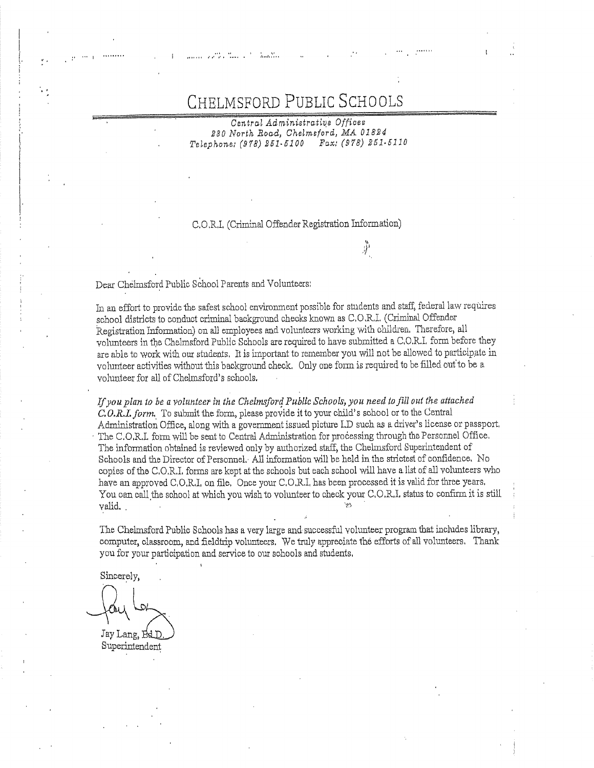# with the contract of the contract of the CHELMSFORD PUBLIC SCH 7

230 North Road, Chelmsford, MA 01824 Telephone: (978) 261-6100 Fax: (978) 251-5110

### C,O.R.L (Criminal Offender Registration Information)

 $\frac{1}{2}$ 

Dear Chelmsford Public School Parents and Volunteers:

\$

In an effort to provide the safest schoo) environment possible for students and staff, federal law requires school districts to conduct criminal background checks known as C,O.R.1. (Criminal Offender Registration Information) on all employees and volunteers working with children, Therefore, all volunteers in the Chelmsford Public Schools are required to have submitted a C,O.R.L form before they are able to work with our students, It is important to remember you will not be allowed to participate in volunteer activities without this background check. Only one form is required to be filled out to be a volunteer for all of Chelmsford's schools.

anned is reviewed only by authorized start,<br>ector of Personnel. All information will be<br>I.I. forms are kept at the schools but each second is<br>c, O,R.I, on file, Once your C,O,R.I, has be<br>nool at which you wish to volunteer Tf pou plan to be a yolunteer in the Chelmsford Public Schools, you need to fill out the attached C.O.R.L form, To submit the form, please provide it to your child's school or to the Central Administration Office, along with a government issued picture 1D such as a driver's license or passport, 'The C.O,R.L form will be sent to Central Administration for processing through the Personnel Office, The information obtained is reviewed only by authorized staff, the Chelmsford Superintendent of Schools and the Director of Personnel, All information will be held in the strictest of confidence. No copies of the C,O.R.I, forms are kept at the schools but each school will have a list of all volunteers who have an approved C,O,R,I, on file, Once your C,O,R.I, has been processed it is valid for three years, You can call the school at which you wish to volunteer to check your C.O.R.1, status to confirm it is still  $v$ alid.

The Chelmsford Public Schools has a very large and: snocessfiul volunteer program that inchides library, computer, classroom, and fieldtrip volunteers. We truly appreciate the efforts of all volunteers. Thank you for your participation and service to our schools and students,

Sincerely,

 $\frac{1}{2}$ Jay Lang, Superintendent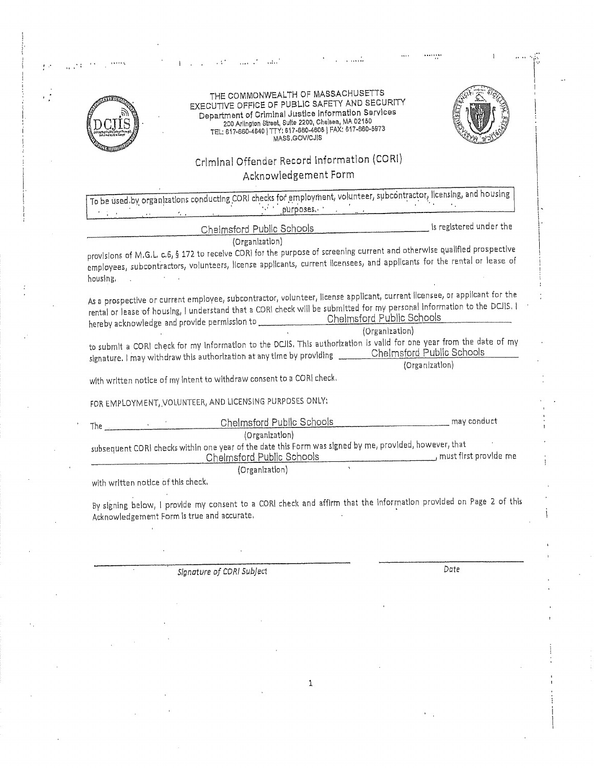| THE COMMONWEALTH OF MASSACHUSETTS<br>EXECUTIVE OFFICE OF PUBLIC SAFETY AND SECURITY<br>Department of Criminal Justice Information Services<br>200 Arlington Street, Suite 2200, Chelsea, MA 02150<br>TEL: 617-660-4640   TTY: 617-660-4606   FAX: 617-660-5973                                                                                                      |                |
|---------------------------------------------------------------------------------------------------------------------------------------------------------------------------------------------------------------------------------------------------------------------------------------------------------------------------------------------------------------------|----------------|
| MASS, GOV/CJIS                                                                                                                                                                                                                                                                                                                                                      |                |
| Criminal Offender Record Information (CORI)<br>Acknowledgement Form                                                                                                                                                                                                                                                                                                 |                |
| To be used by organizations conducting CORI checks for employment, volunteer, subcontractor, licensing, and housing                                                                                                                                                                                                                                                 |                |
|                                                                                                                                                                                                                                                                                                                                                                     |                |
| Chelmsford Public Schools example is registered under the<br>(Organization)                                                                                                                                                                                                                                                                                         |                |
| provisions of M.G.L. c.6, § 172 to receive CORI for the purpose of screening current and otherwise qualified prospective<br>employees, subcontractors, volunteers, license applicants, current licensees, and applicants for the rental or lease of<br>housing.<br>and the control of the con-                                                                      |                |
| As a prospective or current employee, subcontractor, volunteer, Ilcense applicant, current licensee, or applicant for the<br>rental or lease of housing, I understand that a CORI check will be submitted for my personal information to the DCJIS. I<br>hereby acknowledge and provide permission to __________________Chelmsford Public Schools<br>(Organization) |                |
| to submit a CORI check for my information to the DCJIS. This authorization is valid for one year from the date of my<br>signature. I may withdraw this authorization at any time by providing _________Chelmsford Public Schools                                                                                                                                    | (Organization) |
| with written notice of my intent to withdraw consent to a CORI check.                                                                                                                                                                                                                                                                                               |                |
| FOR EMPLOYMENT, VOLUNTEER, AND LICENSING PURPOSES ONLY:                                                                                                                                                                                                                                                                                                             |                |
| The Chelmsford Public Schools may conduct<br>(Organization)                                                                                                                                                                                                                                                                                                         |                |
| subsequent CORI checks within one year of the date this Form was signed by me, provided, however, that<br>Chelmsford Public Schools (Chelmsford Public Schools)                                                                                                                                                                                                     |                |
| (Organization)<br>with written notice of this check.                                                                                                                                                                                                                                                                                                                |                |
| By signing below, I provide my consent to a CORI check and affirm that the information provided on Page 2 of this<br>Acknowledgement Form is true and accurate.                                                                                                                                                                                                     |                |
|                                                                                                                                                                                                                                                                                                                                                                     |                |
| Signature of CORI Subject                                                                                                                                                                                                                                                                                                                                           | Date           |

 $\frac{1}{2}$ 

 $\frac{1}{2}$ 

 $\frac{1}{2}$ 

 $\omega_{\rm{c}}$ 

 $\mathbf{1}$ 

 $\frac{1}{2}$ 

 $\sim$   $\sim$  $\mathcal{A}_\mathrm{c}$ 

 $\hat{\boldsymbol{\beta}}$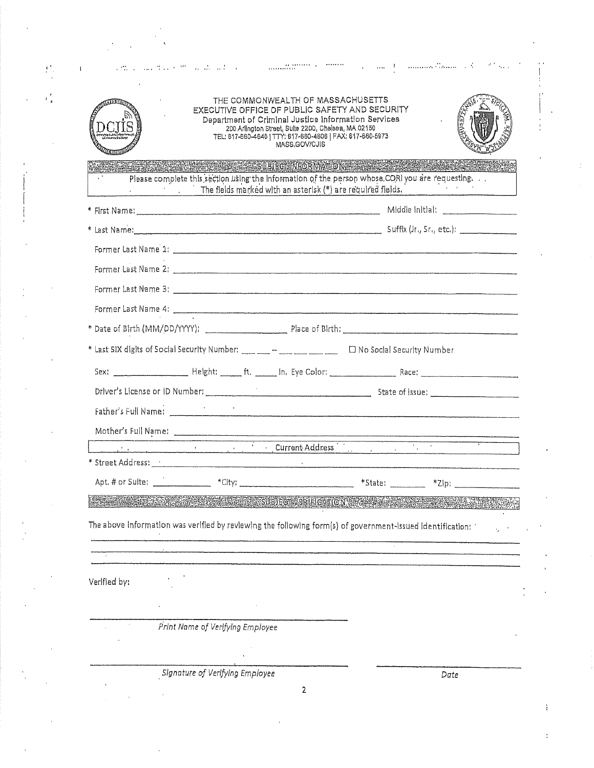| a comparative contract the second comparative contract of the property of the second contract of the second con                                                                                                                           | Le an Alexandria Brasile (B. B. Barr                                                                                                                                                                                            |
|-------------------------------------------------------------------------------------------------------------------------------------------------------------------------------------------------------------------------------------------|---------------------------------------------------------------------------------------------------------------------------------------------------------------------------------------------------------------------------------|
|                                                                                                                                                                                                                                           |                                                                                                                                                                                                                                 |
|                                                                                                                                                                                                                                           | THE COMMONWEALTH OF MASSACHUSETTS<br>EXECUTIVE OFFICE OF PUBLIC SAFETY AND SECURITY                                                                                                                                             |
|                                                                                                                                                                                                                                           | Department of Criminal Justice Information Services<br>200 Arlington Street, Suite 2200, Chaisea, MA 02150                                                                                                                      |
|                                                                                                                                                                                                                                           | TEL: 817-860-4640   TTY: 617-660-4608   FAX: 617-660-5973<br>MASS.GOV/CJIS                                                                                                                                                      |
| <b>RACK WAS ARRESTED BIEGN NEORMANIQ NEEDS ASSESSED.</b>                                                                                                                                                                                  |                                                                                                                                                                                                                                 |
|                                                                                                                                                                                                                                           | Please complete this section using the information of the person whose CORI you are requesting.<br>The fields marked with an asterisk (*) are required fields.                                                                  |
|                                                                                                                                                                                                                                           |                                                                                                                                                                                                                                 |
|                                                                                                                                                                                                                                           |                                                                                                                                                                                                                                 |
| Former Last Name <sup>2</sup> 1; 2000 compared to the form of the form of the form of the form of the form of the form of the form of the form of the form of the form of the form of the form of the form of the form of the form of the |                                                                                                                                                                                                                                 |
|                                                                                                                                                                                                                                           |                                                                                                                                                                                                                                 |
|                                                                                                                                                                                                                                           |                                                                                                                                                                                                                                 |
|                                                                                                                                                                                                                                           |                                                                                                                                                                                                                                 |
|                                                                                                                                                                                                                                           |                                                                                                                                                                                                                                 |
|                                                                                                                                                                                                                                           |                                                                                                                                                                                                                                 |
|                                                                                                                                                                                                                                           | * Last SIX digits of Social Security Number: ____ m ___ m ___ __ __ D No Social Security Number                                                                                                                                 |
|                                                                                                                                                                                                                                           |                                                                                                                                                                                                                                 |
|                                                                                                                                                                                                                                           |                                                                                                                                                                                                                                 |
|                                                                                                                                                                                                                                           |                                                                                                                                                                                                                                 |
|                                                                                                                                                                                                                                           |                                                                                                                                                                                                                                 |
|                                                                                                                                                                                                                                           | Mother's Full Name:<br>experience of the Current Address in the contract of the contract of the contract of the contract of the contract of the contract of the contract of the contract of the contract of the contract of the |
|                                                                                                                                                                                                                                           |                                                                                                                                                                                                                                 |
|                                                                                                                                                                                                                                           | Apt. # or Sulte: _______________ *Clty: ____________________________ *State: ________ *Zlp: __________________                                                                                                                  |
|                                                                                                                                                                                                                                           | <u>e di secolo della contra della composizione dell'alterno di contra della contra della contra della contra di c</u>                                                                                                           |
| The above information was verified by reviewing the following form(s) of government-issued identification;                                                                                                                                |                                                                                                                                                                                                                                 |
| .<br>1914-1914 valdus on mangarang termini menerit Manashas perang perang menerima mengenakan di mengenakan berasaa                                                                                                                       |                                                                                                                                                                                                                                 |
|                                                                                                                                                                                                                                           |                                                                                                                                                                                                                                 |
|                                                                                                                                                                                                                                           |                                                                                                                                                                                                                                 |
|                                                                                                                                                                                                                                           |                                                                                                                                                                                                                                 |
| Print Name of Verifying Employee                                                                                                                                                                                                          |                                                                                                                                                                                                                                 |
|                                                                                                                                                                                                                                           |                                                                                                                                                                                                                                 |
| Verified by:<br>Signature of Verifying Employee                                                                                                                                                                                           | Date                                                                                                                                                                                                                            |

 $\frac{1}{2}$ 

 $\sim 10^{-11}$ 

 $\hat{\vec{r}}$ 

 $\mathcal{A}^{\mathcal{A}}$ 

 $\frac{1}{2}$  .

 $\frac{1}{\sqrt{2}}$